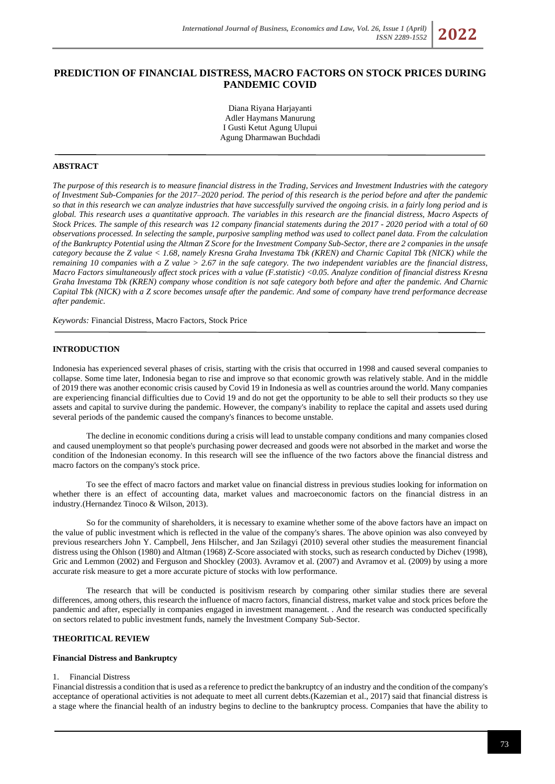# **PREDICTION OF FINANCIAL DISTRESS, MACRO FACTORS ON STOCK PRICES DURING PANDEMIC COVID**

Diana Riyana Harjayanti Adler Haymans Manurung I Gusti Ketut Agung Ulupui Agung Dharmawan Buchdadi

# **ABSTRACT**

*The purpose of this research is to measure financial distress in the Trading, Services and Investment Industries with the category of Investment Sub-Companies for the 2017–2020 period. The period of this research is the period before and after the pandemic so that in this research we can analyze industries that have successfully survived the ongoing crisis. in a fairly long period and is global. This research uses a quantitative approach. The variables in this research are the financial distress, Macro Aspects of Stock Prices. The sample of this research was 12 company financial statements during the 2017 - 2020 period with a total of 60 observations processed. In selecting the sample, purposive sampling method was used to collect panel data. From the calculation of the Bankruptcy Potential using the Altman Z Score for the Investment Company Sub-Sector, there are 2 companies in the unsafe category because the Z value < 1.68, namely Kresna Graha Investama Tbk (KREN) and Charnic Capital Tbk (NICK) while the remaining 10 companies with a Z value > 2.67 in the safe category. The two independent variables are the financial distress, Macro Factors simultaneously affect stock prices with a value (F.statistic) <0.05. Analyze condition of financial distress Kresna Graha Investama Tbk (KREN) company whose condition is not safe category both before and after the pandemic. And Charnic Capital Tbk (NICK) with a Z score becomes unsafe after the pandemic. And some of company have trend performance decrease after pandemic.*

*Keywords:* Financial Distress, Macro Factors, Stock Price

#### **INTRODUCTION**

Indonesia has experienced several phases of crisis, starting with the crisis that occurred in 1998 and caused several companies to collapse. Some time later, Indonesia began to rise and improve so that economic growth was relatively stable. And in the middle of 2019 there was another economic crisis caused by Covid 19 in Indonesia as well as countries around the world. Many companies are experiencing financial difficulties due to Covid 19 and do not get the opportunity to be able to sell their products so they use assets and capital to survive during the pandemic. However, the company's inability to replace the capital and assets used during several periods of the pandemic caused the company's finances to become unstable.

The decline in economic conditions during a crisis will lead to unstable company conditions and many companies closed and caused unemployment so that people's purchasing power decreased and goods were not absorbed in the market and worse the condition of the Indonesian economy. In this research will see the influence of the two factors above the financial distress and macro factors on the company's stock price.

To see the effect of macro factors and market value on financial distress in previous studies looking for information on whether there is an effect of accounting data, market values and macroeconomic factors on the financial distress in an industry.(Hernandez Tinoco & Wilson, 2013).

So for the community of shareholders, it is necessary to examine whether some of the above factors have an impact on the value of public investment which is reflected in the value of the company's shares. The above opinion was also conveyed by previous researchers John Y. Campbell, Jens Hilscher, and Jan Szilagyi (2010) several other studies the measurement financial distress using the Ohlson (1980) and Altman (1968) Z-Score associated with stocks, such as research conducted by Dichev (1998), Gric and Lemmon (2002) and Ferguson and Shockley (2003). Avramov et al. (2007) and Avramov et al. (2009) by using a more accurate risk measure to get a more accurate picture of stocks with low performance.

The research that will be conducted is positivism research by comparing other similar studies there are several differences, among others, this research the influence of macro factors, financial distress, market value and stock prices before the pandemic and after, especially in companies engaged in investment management. . And the research was conducted specifically on sectors related to public investment funds, namely the Investment Company Sub-Sector.

# **THEORITICAL REVIEW**

#### **Financial Distress and Bankruptcy**

# 1. Financial Distress

Financial distressis a condition that is used as a reference to predict the bankruptcy of an industry and the condition of the company's acceptance of operational activities is not adequate to meet all current debts.(Kazemian et al., 2017) said that financial distress is a stage where the financial health of an industry begins to decline to the bankruptcy process. Companies that have the ability to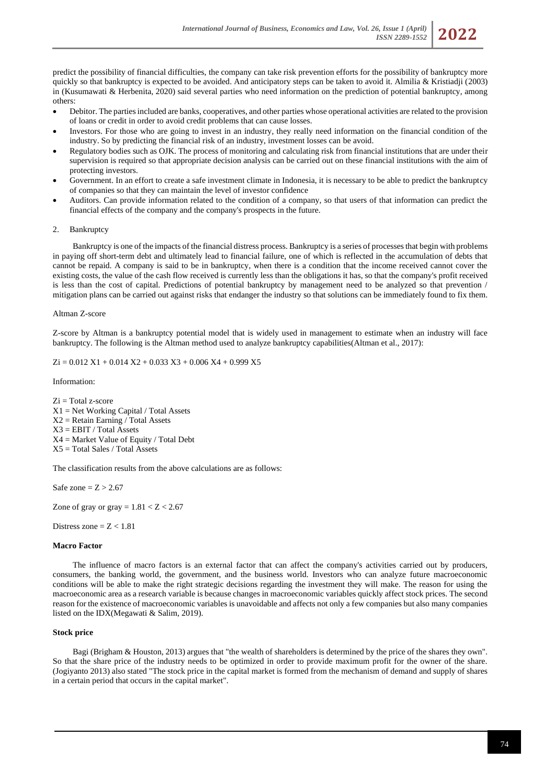predict the possibility of financial difficulties, the company can take risk prevention efforts for the possibility of bankruptcy more quickly so that bankruptcy is expected to be avoided. And anticipatory steps can be taken to avoid it. Almilia & Kristiadji (2003) in (Kusumawati & Herbenita, 2020) said several parties who need information on the prediction of potential bankruptcy, among others:

- Debitor. The parties included are banks, cooperatives, and other parties whose operational activities are related to the provision of loans or credit in order to avoid credit problems that can cause losses.
- Investors. For those who are going to invest in an industry, they really need information on the financial condition of the industry. So by predicting the financial risk of an industry, investment losses can be avoid.
- Regulatory bodies such as OJK. The process of monitoring and calculating risk from financial institutions that are under their supervision is required so that appropriate decision analysis can be carried out on these financial institutions with the aim of protecting investors.
- Government. In an effort to create a safe investment climate in Indonesia, it is necessary to be able to predict the bankruptcy of companies so that they can maintain the level of investor confidence
- Auditors. Can provide information related to the condition of a company, so that users of that information can predict the financial effects of the company and the company's prospects in the future.

# 2. Bankruptcy

Bankruptcy is one of the impacts of the financial distress process. Bankruptcy is a series of processes that begin with problems in paying off short-term debt and ultimately lead to financial failure, one of which is reflected in the accumulation of debts that cannot be repaid. A company is said to be in bankruptcy, when there is a condition that the income received cannot cover the existing costs, the value of the cash flow received is currently less than the obligations it has, so that the company's profit received is less than the cost of capital. Predictions of potential bankruptcy by management need to be analyzed so that prevention / mitigation plans can be carried out against risks that endanger the industry so that solutions can be immediately found to fix them.

# Altman Z-score

Z-score by Altman is a bankruptcy potential model that is widely used in management to estimate when an industry will face bankruptcy. The following is the Altman method used to analyze bankruptcy capabilities(Altman et al., 2017):

 $Zi = 0.012 X1 + 0.014 X2 + 0.033 X3 + 0.006 X4 + 0.999 X5$ 

Information:

Zi = Total z-score  $X1 = Net Working Capital / Total Assets$  $X2 = Retain Earning / Total Assets$ X3 = EBIT / Total Assets X4 = Market Value of Equity / Total Debt X5 = Total Sales / Total Assets

The classification results from the above calculations are as follows:

Safe zone =  $Z > 2.67$ 

Zone of gray or gray  $= 1.81 < Z < 2.67$ 

Distress zone  $= 7 < 1.81$ 

# **Macro Factor**

The influence of macro factors is an external factor that can affect the company's activities carried out by producers, consumers, the banking world, the government, and the business world. Investors who can analyze future macroeconomic conditions will be able to make the right strategic decisions regarding the investment they will make. The reason for using the macroeconomic area as a research variable is because changes in macroeconomic variables quickly affect stock prices. The second reason for the existence of macroeconomic variables is unavoidable and affects not only a few companies but also many companies listed on the IDX(Megawati & Salim, 2019).

## **Stock price**

Bagi (Brigham & Houston, 2013) argues that "the wealth of shareholders is determined by the price of the shares they own". So that the share price of the industry needs to be optimized in order to provide maximum profit for the owner of the share. (Jogiyanto 2013) also stated "The stock price in the capital market is formed from the mechanism of demand and supply of shares in a certain period that occurs in the capital market".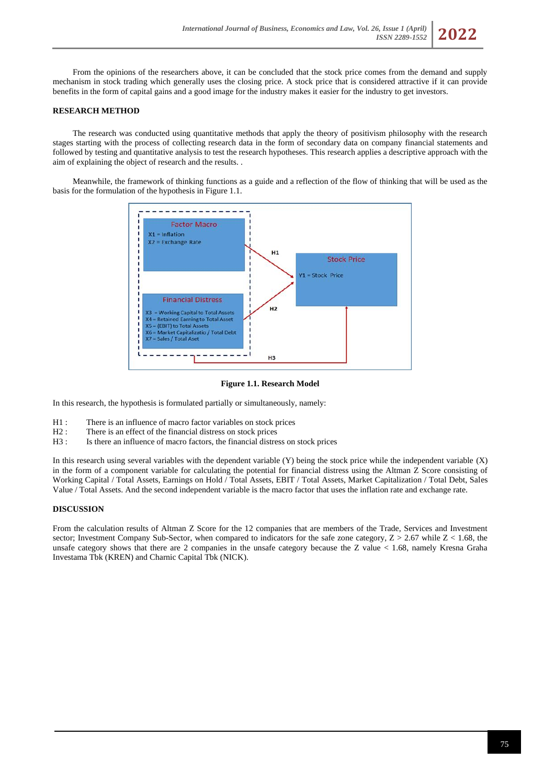From the opinions of the researchers above, it can be concluded that the stock price comes from the demand and supply mechanism in stock trading which generally uses the closing price. A stock price that is considered attractive if it can provide benefits in the form of capital gains and a good image for the industry makes it easier for the industry to get investors.

# **RESEARCH METHOD**

The research was conducted using quantitative methods that apply the theory of positivism philosophy with the research stages starting with the process of collecting research data in the form of secondary data on company financial statements and followed by testing and quantitative analysis to test the research hypotheses. This research applies a descriptive approach with the aim of explaining the object of research and the results. .

Meanwhile, the framework of thinking functions as a guide and a reflection of the flow of thinking that will be used as the basis for the formulation of the hypothesis in Figure 1.1.



**Figure 1.1. Research Model**

In this research, the hypothesis is formulated partially or simultaneously, namely:

- H1 : There is an influence of macro factor variables on stock prices H2 : There is an effect of the financial distress on stock prices
- There is an effect of the financial distress on stock prices
- H3 : Is there an influence of macro factors, the financial distress on stock prices

In this research using several variables with the dependent variable (Y) being the stock price while the independent variable (X) in the form of a component variable for calculating the potential for financial distress using the Altman Z Score consisting of Working Capital / Total Assets, Earnings on Hold / Total Assets, EBIT / Total Assets, Market Capitalization / Total Debt, Sales Value / Total Assets. And the second independent variable is the macro factor that uses the inflation rate and exchange rate.

## **DISCUSSION**

From the calculation results of Altman Z Score for the 12 companies that are members of the Trade, Services and Investment sector; Investment Company Sub-Sector, when compared to indicators for the safe zone category,  $Z > 2.67$  while  $Z < 1.68$ , the unsafe category shows that there are 2 companies in the unsafe category because the Z value < 1.68, namely Kresna Graha Investama Tbk (KREN) and Charnic Capital Tbk (NICK).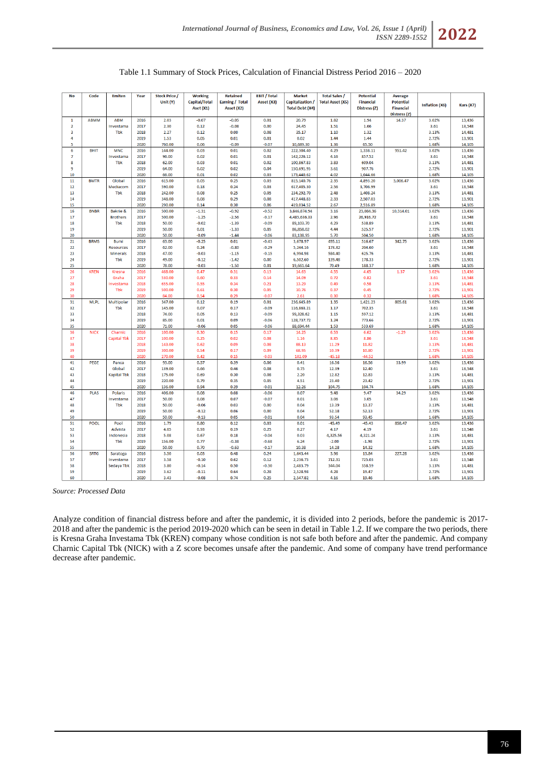

| <b>No</b>               | Code        |                     | Year |                      |                |                 |                     |                        |                         |                  |                  |                       |           |
|-------------------------|-------------|---------------------|------|----------------------|----------------|-----------------|---------------------|------------------------|-------------------------|------------------|------------------|-----------------------|-----------|
|                         |             | <b>Emiten</b>       |      | <b>Stock Price /</b> | <b>Working</b> | <b>Retained</b> | <b>EBIT / Total</b> | <b>Market</b>          | <b>Total Sales /</b>    | <b>Potential</b> | <b>Average</b>   |                       |           |
|                         |             |                     |      | Unit (Y)             | Capital/Total  | Earning / Total | Asset (X3)          | Capitalization /       | <b>Total Asset (X5)</b> | <b>Financial</b> | <b>Potential</b> | <b>Inflation (X6)</b> | Kurs (X7) |
|                         |             |                     |      |                      | Aset (X1)      | Asset (X2)      |                     | <b>Total Debt (X4)</b> |                         | Distress (Z)     | <b>Financial</b> |                       |           |
|                         |             |                     |      |                      |                |                 |                     |                        |                         |                  | Distress (Z)     |                       |           |
| $\mathbf{1}$            | <b>ABMM</b> | <b>ABM</b>          | 2016 | 2.03                 | $-0.07$        | $-0.05$         | 0.01                | 20.79                  | 1.82                    | 1.94             | 14.37            | 3.02%                 | 13,436    |
| $\overline{2}$          |             | Investama           | 2017 | 2.30                 | 0.12           | $-0.08$         | 0.00                | 24.45                  | 1.51                    | 1.66             |                  | 3.61                  | 13,548    |
| $\overline{\mathbf{3}}$ |             | <b>Tbk</b>          | 2018 | 2.27                 | 0.12           | 0.00            | 0.08                | 35.17                  | 1.10                    | 1.32             |                  | 3.13%                 | 14,481    |
| 4                       |             |                     | 2019 | 1.53                 | 0.05           | 0.01            | 0.01                | 0.02                   | 1.44                    | 1.44             |                  | 2.72%                 | 13,901    |
| 5                       |             |                     | 2020 | 760.00               | 0.06           | $-0.09$         | $-0.07$             | 10,689.30              | 1.36                    | 65.50            |                  | 1.68%                 | 14,105    |
| $6\phantom{a}$          | <b>BHIT</b> | <b>MNC</b>          | 2016 | 144.00               | 0.03           | 0.01            | 0.02                | 222,304.40             | 4.29                    | 1,338.11         | 951.42           | 3.02%                 | 13,436    |
| 7                       |             | Investama           | 2017 | 96.00                | 0.02           | 0.01            | 0.01                | 142,226.12             | 4.16                    | 857.52           |                  | 3.61                  | 13,548    |
| 8                       |             | Tbk                 | 2018 | 62.00                | 0.03           | 0.01            | 0.02                | 100,867.83             | 3.83                    | 609.04           |                  | 3.13%                 | 14,481    |
| q                       |             |                     | 2019 | 64.00                | 0.02           | 0.02            | 0.04                | 150,691.95             | 3.61                    | 907.76           |                  | 2.72%                 | 13,901    |
| 10                      |             |                     | 2020 | 66.00                | 0.01           | 0.02            | 0.03                | 173,440.62             | 4.02                    | 1,044.66         |                  | 1.68%                 | 14,105    |
| 11                      | <b>BMTR</b> | Global              | 2016 | 615.00               | 0.05           | 0.25            | 0.03                | 815,140.76             | 2.35                    | 4,893.20         | 3,006.47         | 3.02%                 | 13,436    |
| 12                      |             | Mediacom            | 2017 | 590.00               | 0.18           | 0.24            | 0.03                | 617,405.30             | 2.56                    | 3,706.99         |                  | 3.61                  | 13,548    |
| 13                      |             | Tbk                 | 2018 | 242.00               | 0.08           | 0.25            | 0.05                | 234,292.70             | 2.48                    | 1,408.24         |                  | 3.13%                 | 14,481    |
| 14                      |             |                     | 2019 | 348.00               | 0.08           | 0.29            | 0.08                | 417,448.83             | 2.33                    | 2,507.03         |                  | 2.72%                 | 13,901    |
| 15                      |             |                     | 2020 | 290.00               | 0.14           | 0.30            | 0.06                | 419,034.52             | 2.67                    | 2,516.89         |                  | 1.68%                 | 14,105    |
| 16                      | <b>BNBR</b> | <b>Bakrie &amp;</b> | 2016 | 500.00               | $-1.31$        | $-0.92$         | $-0.52$             | 3,846,874.94           | 3.16                    | 23,084.36        | 10,314.01        | 3.02%                 | 13,436    |
| 17                      |             | <b>Brothers</b>     | 2017 | 500.00               | $-1.25$        | $-2.56$         | $-0.17$             | 4,485,636.33           | 2.96                    | 26,916.72        |                  | 3.61                  | 13.548    |
| 18                      |             | Tbk                 | 2018 | 50.00                | $-0.02$        | $-1.39$         | $-0.09$             | 89,103.70              | 4.29                    | 538.89           |                  | 3.13%                 | 14,481    |
| 19                      |             |                     | 2019 | 50.00                | 0.01           | $-1.33$         | 0.05                | 86,858.02              | 4.44                    | 525.57           |                  | 2.72%                 | 13,901    |
| 20                      |             |                     | 2020 | 50.00                | $-0.09$        | $-1.44$         | $-0.06$             | 83,138.95              | 5.70                    | 504.50           |                  | 1.68%                 | 14,105    |
| 21                      | <b>BRMS</b> | Bumi                | 2016 | 63.00                | $-0.25$        | 0.01            | $-0.43$             | 3,678.97               | 495.11                  | 516.67           | 342.75           | 3.02%                 | 13,436    |
| 22                      |             | <b>Resources</b>    | 2017 | 62.00                | 0.24           | $-0.80$         | $-0.29$             | 5,244.16               | 173.32                  | 204.60           |                  | 3.61                  | 13,548    |
| 23                      |             | <b>Minerals</b>     | 2018 | 47.00                | $-0.03$        | $-1.15$         | $-0.15$             | 6,994.98               | 584.40                  | 625.76           |                  | 3.13%                 | 14,481    |
| 24                      |             | <b>Tbk</b>          | 2019 | 49.00                | $-0.12$        | $-1.42$         | 0.00                | 6,502.60               | 139.48                  | 178.33           |                  | 2.72%                 | 13,901    |
| 25                      |             |                     | 2020 | 78.00                | $-0.03$        | $-1.50$         | 0.01                | 19,661.64              | 70.49                   | 188.37           |                  | 1.68%                 | 14,105    |
| 26                      | <b>KREN</b> | Kresna              | 2016 | 468.00               | 0.47           | 0.31            | 0.13                | 14.63                  | 4.55                    | 4.65             | 1.37             | 3.02%                 | 13,436    |
| 27                      |             | Graha               | 2017 | 530.00               | 0.60           | 0.33            | 0.14                | 14.09                  | 0.72                    | 0.82             |                  | 3.61                  | 13,548    |
| 28                      |             | Investama           | 2018 | 655.00               | 0.55           | 0.34            | 0.21                | 13.29                  | 0.49                    | 0.58             |                  | 3.13%                 | 14,481    |
| 29                      |             | Tbk                 | 2019 | 500.00               | 0.61           | 0.30            | 0.05                | 10.76                  | 0.37                    | 0.45             |                  | 2.72%                 | 13,901    |
| 30                      |             |                     | 2020 | 84.00                | 0.54           | 0.29            | $-0.07$             | 2.61                   | 0.30                    | 0.32             |                  | 1.68%                 | 14,105    |
| 31                      | <b>MLPL</b> | Multipolar          | 2016 | 347.00               | 0.12           | 0.19            | 0.01                | 236,645.89             | 1.35                    | 1,421.23         | 805.61           | 3.02%                 | 13,436    |
| 32                      |             | <b>Tbk</b>          | 2017 | 145.00               | 0.07           | 0.17            | $-0.09$             | 116,863.21             | 1.17                    | 702.35           |                  | 3.61                  | 13,548    |
| 33                      |             |                     | 2018 | 74.00                | 0.05           | 0.13            | $-0.09$             | 99,328.62              | 1.15                    | 597.12           |                  | 3.13%                 | 14,481    |
| 34                      |             |                     | 2019 | 85.00                | 0.01           | 0.09            | $-0.06$             | 128,737.72             | 1.24                    | 773.66           |                  | 2.72%                 | 13,901    |
| 35                      |             |                     | 2020 | 71.00                | $-0.06$        | 0.05            | $-0.06$             | 88,694.44              | 1.53                    | 533.69           |                  | 1.68%                 | 14,105    |
| 36                      | <b>NICK</b> | Charnic             | 2016 | 100.00               | 0.30           | 0.15            | 0.17                | 14.25                  | 6.53                    | 6.62             | $-1.29$          | 3.02%                 | 13,436    |
| 37                      |             | <b>Capital Tbk</b>  | 2017 | 100.00               | 0.25           | 0.02            | 0.08                | 1.16                   | 8.85                    | 8.86             |                  | 3.61                  | 13,548    |
| 38                      |             |                     | 2018 | 143.00               | 0.62           | 0.09            | 0.08                | 88.13                  | 11.29                   | 11.82            |                  | 3.13%                 | 14,481    |
| 39                      |             |                     | 2019 | 300.00               | 0.54           | 0.17            | 0.09                | 68.95                  | 10.39                   | 10.80            |                  | 2.72%                 | 13,901    |
| 40                      |             |                     | 2020 | 270.00               | 0.42           | 0.15            | $-0.03$             | 102.09                 | $-45.18$                | $-44.52$         |                  | 1.68%                 | 14,105    |
| 41                      | PEGE        | Panca               | 2016 | 93.00                | 0.57           | 0.39            | 0.06                | 0.41                   | 16.56                   | 16.56            | 33.99            | 3.02%                 | 13,436    |
| 42                      |             | Global              | 2017 | 139.00               | 0.66           | 0.46            | 0.08                | 0.75                   | 12.39                   | 12.40            |                  | 3.61                  | 13,548    |
| 43                      |             | <b>Kapital Tbk</b>  | 2018 | 175.00               | 0.69           | 0.30            | 0.08                | 2.20                   | 12.82                   | 12.83            |                  | 3.13%                 | 14,481    |
| 44                      |             |                     | 2019 | 220.00               | 0.79           | 0.35            | 0.05                | 4.51                   | 23.40                   | 23.42            |                  | 2.72%                 | 13,901    |
| 45                      |             |                     | 2020 | 136.00               | 0.94           | 0.39            | $-0.01$             | 12.26                  | 104.75                  | 104.74           |                  | 1.68%                 | 14,105    |
| 46                      | <b>PLAS</b> | Polaris             | 2016 | 406.00               | 0.08           | 0.08            | $-0.06$             | 0.07                   | 9.48                    | 9.47             | 34.29            | 3.02%                 | 13,436    |
| 47                      |             | Investama           | 2017 | 50.00                | 0.08           | 0.07            | $-0.07$             | 0.01                   | 3.06                    | 3.05             |                  | 3.61                  | 13,548    |
| 48                      |             | <b>Tbk</b>          | 2018 | 50.00                | $-0.06$        | 0.03            | 0.00                | 0.04                   | 13.39                   | 13.37            |                  | 3.13%                 | 14,481    |
| 49                      |             |                     | 2019 | 50.00                | $-0.12$        | 0.06            | 0.00                | 0.04                   | 52.18                   | 52.13            |                  | 2.72%                 | 13,901    |
| 50                      |             |                     | 2020 | 50.00                | $-0.13$        | 0.05            | $-0.01$             | 0.04                   | 93.54                   | 93.45            |                  | 1.68%                 | 14,105    |
| 51                      | POOL        | Pool                | 2016 | 1.79                 | 0.80           | 0.12            | 0.03                | 0.01                   | $-45.49$                | $-45.43$         | 858.47           | 3.02%                 | 13,436    |
| 52                      |             | Advista             | 2017 | 4.05                 | 0.93           | 0.19            | 0.25                | 0.27                   | 4.17                    | 4.19             |                  | 3.61                  | 13,548    |
| 53                      |             | Indonesia           | 2018 | 5.08                 | 0.67           | 0.18            | $-0.04$             | 0.03                   | 4,325.56                | 4,321.24         |                  | 3.13%                 | 14,481    |
| 54                      |             | Tbk                 | 2019 | 156.00               | 0.77           | $-0.38$         | $-0.68$             | 6.24                   | $-2.00$                 | $-1.98$          |                  | 2.72%                 | 13,901    |
| 55                      |             |                     | 2020 | 50.00                | 0.70           | $-0.63$         | $-0.17$             | 10.38                  | 14.28                   | 14.32            |                  | 1.68%                 | 14,105    |
| 56                      | <b>SRTG</b> | Saratoga            | 2016 | 3.50                 | 0.03           | 0.48            | 0.24                | 1,643.44               | 3.96                    | 13.84            | 227.28           | 3.02%                 | 13,436    |
| 57                      |             | Investama           | 2017 | 3.58                 | $-0.10$        | 0.62            | 0.12                | 2,236.73               | 712.31                  | 725.03           |                  | 3.61                  | 13,548    |
| 58                      |             | Sedaya Tbk          | 2018 | 3.80                 | $-0.14$        | 0.50            | $-0.30$             | 2,483.79               | 344.04                  | 358.59           |                  | 3.13%                 | 14,481    |
| 59                      |             |                     | 2019 | 3.62                 | $-0.11$        | 0.64            | 0.28                | 2,528.98               | 4.28                    | 19.47            |                  | 2.72%                 | 13,901    |
| 60                      |             |                     | 2020 | 3.43                 | $-0.08$        | 0.74            | 0.25                | 2,547.82               | 4.16                    | 19.46            |                  | 1.68%                 | 14,105    |

# Table 1.1 Summary of Stock Prices, Calculation of Financial Distress Period 2016 – 2020

*Source: Processed Data*

Analyze condition of financial distress before and after the pandemic, it is divided into 2 periods, before the pandemic is 2017- 2018 and after the pandemic is the period 2019-2020 which can be seen in detail in Table 1.2. If we compare the two periods, there is Kresna Graha Investama Tbk (KREN) company whose condition is not safe both before and after the pandemic. And company Charnic Capital Tbk (NICK) with a Z score becomes unsafe after the pandemic. And some of company have trend performance decrease after pandemic.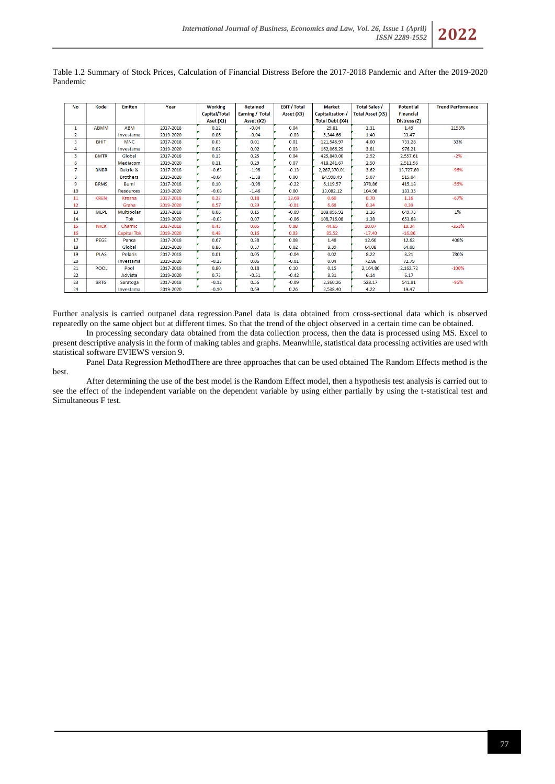| <b>No</b>      | Kode        | <b>Emiten</b>       | Year      | <b>Working</b>       | <b>Retained</b> | <b>EBIT / Total</b> | <b>Market</b>          | <b>Total Sales /</b>    | <b>Potential</b> | <b>Trend Performance</b> |
|----------------|-------------|---------------------|-----------|----------------------|-----------------|---------------------|------------------------|-------------------------|------------------|--------------------------|
|                |             |                     |           | <b>Capital/Total</b> | Earning / Total | Asset (X3)          | Capitalization /       | <b>Total Asset (X5)</b> | <b>Financial</b> |                          |
|                |             |                     |           | Aset (X1)            | Asset (X2)      |                     | <b>Total Debt (X4)</b> |                         | Distress (Z)     |                          |
| 1              | <b>ABMM</b> | <b>ABM</b>          | 2017-2018 | 0.12                 | $-0.04$         | 0.04                | 29.81                  | 1.31                    | 1.49             | 2153%                    |
|                |             |                     |           |                      |                 |                     |                        |                         |                  |                          |
| $\overline{2}$ |             | Investama           | 2019-2020 | 0.06                 | $-0.04$         | $-0.03$             | 5,344.66               | 1.40                    | 33.47            |                          |
| 3              | <b>BHIT</b> | <b>MNC</b>          | 2017-2018 | 0.03                 | 0.01            | 0.01                | 121,546.97             | 4.00                    | 733.28           | 33%                      |
| 4              |             | Investama           | 2019-2020 | 0.02                 | 0.02            | 0.03                | 162.066.29             | 3.81                    | 976.21           |                          |
| 5              | <b>BMTR</b> | Global              | 2017-2018 | 0.13                 | 0.25            | 0.04                | 425.849.00             | 2.52                    | 2.557.61         | $-2%$                    |
| 6              |             | Mediacom            | 2019-2020 | 0.11                 | 0.29            | 0.07                | 418,241.67             | 2.50                    | 2,511.96         |                          |
| $\overline{7}$ | <b>BNBR</b> | <b>Bakrie &amp;</b> | 2017-2018 | $-0.63$              | $-1.98$         | $-0.13$             | 2,287,370.01           | 3.62                    | 13,727.80        | $-96%$                   |
| 8              |             | <b>Brothers</b>     | 2019-2020 | $-0.04$              | $-1.38$         | 0.00                | 84,998.49              | 5.07                    | 515.04           |                          |
| 9              | <b>BRMS</b> | <b>Bumi</b>         | 2017-2018 | 0.10                 | $-0.98$         | $-0.22$             | 6,119.57               | 378.86                  | 415.18           | $-56%$                   |
| 10             |             | <b>Resources</b>    | 2019-2020 | $-0.08$              | $-1.46$         | 0.00                | 13,082.12              | 104.98                  | 183.35           |                          |
| 11             | <b>KREN</b> | Kresna              | 2017-2018 | 0.33                 | 0.18            | 13.69               | 0.60                   | 0.70                    | 1.16             | $-67%$                   |
| 12             |             | Graha               | 2019-2020 | 0.57                 | 0.29            | $-0.01$             | 6.68                   | 0.34                    | 0.39             |                          |
| 13             | <b>MLPL</b> | Multipolar          | 2017-2018 | 0.06                 | 0.15            | $-0.09$             | 108,095.92             | 1.16                    | 649.73           | 1%                       |
| 14             |             | <b>Tbk</b>          | 2019-2020 | $-0.03$              | 0.07            | $-0.06$             | 108,716.08             | 1.38                    | 653.68           |                          |
| 15             | <b>NICK</b> | Charnic             | 2017-2018 | 0.43                 | 0.05            | 0.08                | 44.65                  | 10.07                   | 10.34            | $-263%$                  |
| 16             |             | <b>Capital Tbk</b>  | 2019-2020 | 0.48                 | 0.16            | 0.03                | 85.52                  | $-17.40$                | $-16.86$         |                          |
| 17             | <b>PEGE</b> | Panca               | 2017-2018 | 0.67                 | 0.38            | 0.08                | 1.48                   | 12.60                   | 12.62            | 408%                     |
| 18             |             | Global              | 2019-2020 | 0.86                 | 0.37            | 0.02                | 8.39                   | 64.08                   | 64.08            |                          |
| 19             | <b>PLAS</b> | Polaris             | 2017-2018 | 0.01                 | 0.05            | $-0.04$             | 0.02                   | 8.22                    | 8.21             | 786%                     |
| 20             |             | Investama           | 2019-2020 | $-0.13$              | 0.06            | $-0.01$             | 0.04                   | 72.86                   | 72.79            |                          |
| 21             | <b>POOL</b> | Pool                | 2017-2018 | 0.80                 | 0.18            | 0.10                | 0.15                   | 2,164.86                | 2,162.72         | $-100%$                  |
| 22             |             | Advista             | 2019-2020 | 0.73                 | $-0.51$         | $-0.42$             | 8.31                   | 6.14                    | 6.17             |                          |
| 23             | <b>SRTG</b> | Saratoga            | 2017-2018 | $-0.12$              | 0.56            | $-0.09$             | 2,360.26               | 528.17                  | 541.81           | $-96%$                   |
| 24             |             | Investama           | 2019-2020 | $-0.10$              | 0.69            | 0.26                | 2.538.40               | 4.22                    | 19.47            |                          |

Table 1.2 Summary of Stock Prices, Calculation of Financial Distress Before the 2017-2018 Pandemic and After the 2019-2020 Pandemic

Further analysis is carried outpanel data regression.Panel data is data obtained from cross-sectional data which is observed repeatedly on the same object but at different times. So that the trend of the object observed in a certain time can be obtained.

In processing secondary data obtained from the data collection process, then the data is processed using MS. Excel to present descriptive analysis in the form of making tables and graphs. Meanwhile, statistical data processing activities are used with statistical software EVIEWS version 9.

Panel Data Regression MethodThere are three approaches that can be used obtained The Random Effects method is the best.

After determining the use of the best model is the Random Effect model, then a hypothesis test analysis is carried out to see the effect of the independent variable on the dependent variable by using either partially by using the t-statistical test and Simultaneous F test.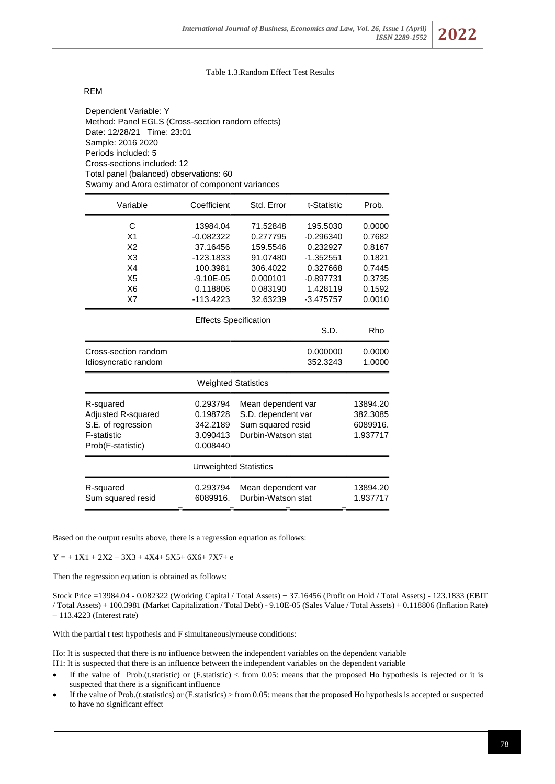# Table 1.3.Random Effect Test Results

REM

Dependent Variable: Y Method: Panel EGLS (Cross-section random effects) Date: 12/28/21 Time: 23:01 Sample: 2016 2020 Periods included: 5 Cross-sections included: 12 Total panel (balanced) observations: 60 Swamy and Arora estimator of component variances

| Variable             | Coefficient                  | Std. Error         | t-Statistic | Prob.    |
|----------------------|------------------------------|--------------------|-------------|----------|
| C                    | 13984.04                     | 71.52848           | 195.5030    | 0.0000   |
| X <sub>1</sub>       | $-0.082322$                  | 0.277795           | $-0.296340$ | 0.7682   |
| X <sub>2</sub>       | 37.16456                     | 159.5546           | 0.232927    | 0.8167   |
| X <sub>3</sub>       | $-123.1833$                  | 91.07480           | $-1.352551$ | 0.1821   |
| X4                   | 100.3981                     | 306.4022           | 0.327668    | 0.7445   |
| X <sub>5</sub>       | $-9.10E - 05$                | 0.000101           | $-0.897731$ | 0.3735   |
| X <sub>6</sub>       | 0.118806                     | 0.083190           | 1.428119    | 0.1592   |
| X7                   | -113.4223                    | 32.63239           | $-3.475757$ | 0.0010   |
|                      | <b>Effects Specification</b> |                    |             |          |
|                      |                              |                    | S.D.        | Rho      |
| Cross-section random |                              |                    | 0.000000    | 0.0000   |
| Idiosyncratic random |                              |                    | 352.3243    | 1.0000   |
|                      | <b>Weighted Statistics</b>   |                    |             |          |
| R-squared            | 0.293794                     | Mean dependent var |             | 13894.20 |
| Adjusted R-squared   | 0.198728                     | S.D. dependent var |             | 382.3085 |
| S.E. of regression   | 342.2189                     | Sum squared resid  | 6089916.    |          |
| F-statistic          | 3.090413                     | Durbin-Watson stat | 1.937717    |          |
| Prob(F-statistic)    | 0.008440                     |                    |             |          |
|                      | <b>Unweighted Statistics</b> |                    |             |          |
| R-squared            | 0.293794                     | Mean dependent var |             | 13894.20 |
| Sum squared resid    | 6089916.                     | Durbin-Watson stat |             | 1.937717 |

Based on the output results above, there is a regression equation as follows:

 $Y = +1X1 + 2X2 + 3X3 + 4X4 + 5X5 + 6X6 + 7X7 + e$ 

Then the regression equation is obtained as follows:

Stock Price =13984.04 - 0.082322 (Working Capital / Total Assets) + 37.16456 (Profit on Hold / Total Assets) - 123.1833 (EBIT / Total Assets) + 100.3981 (Market Capitalization / Total Debt) - 9.10E-05 (Sales Value / Total Assets) + 0.118806 (Inflation Rate) – 113.4223 (Interest rate)

With the partial t test hypothesis and F simultaneouslymeuse conditions:

Ho: It is suspected that there is no influence between the independent variables on the dependent variable H1: It is suspected that there is an influence between the independent variables on the dependent variable

- If the value of Prob.(t.statistic) or (F.statistic) < from 0.05: means that the proposed Ho hypothesis is rejected or it is suspected that there is a significant influence
- If the value of Prob.(t.statistics) or (F.statistics) > from 0.05: means that the proposed Ho hypothesis is accepted or suspected to have no significant effect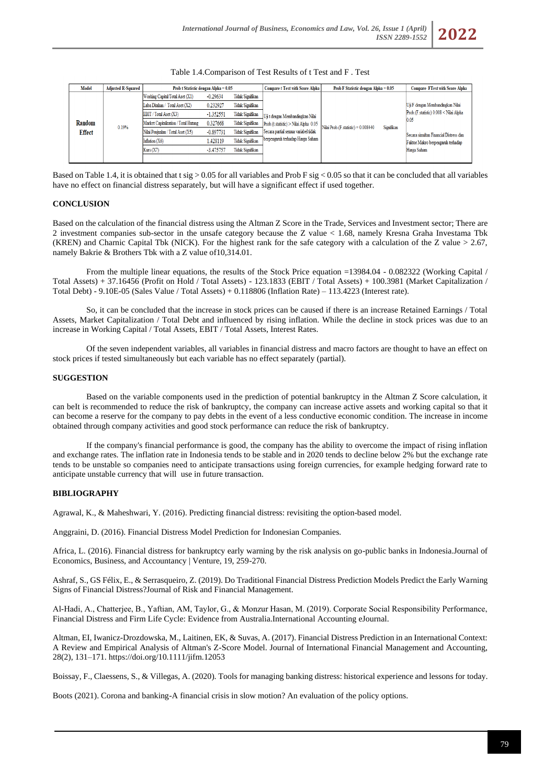| Table 1.4. Comparison of Test Results of t Test and F. Test |  |
|-------------------------------------------------------------|--|
|-------------------------------------------------------------|--|

| <b>Model</b>            | <b>Adjusted R-Squared</b> | Prob t Statistic dengan Alpha = $0.05$                                                                                                     |                                                   |                                                                                                          | <b>Compare t Test with Score Alpha</b>                                    | <b>Prob F Statistic dengan Alpha = <math>0.05</math></b> | <b>Compare FTest with Score Alpha</b> |                                                                                            |
|-------------------------|---------------------------|--------------------------------------------------------------------------------------------------------------------------------------------|---------------------------------------------------|----------------------------------------------------------------------------------------------------------|---------------------------------------------------------------------------|----------------------------------------------------------|---------------------------------------|--------------------------------------------------------------------------------------------|
| Random<br><b>Effect</b> | 0.19%                     | Working Capital/Total Aset (X1)<br>Laba Ditahan / Total Aset (X2)<br><b>EBIT</b> / Total Aset (X3)<br>Market Capitalization / Total Hutang | $-0.29634$<br>0.232927<br>$-1.352551$<br>0.327668 | <b>Tidak Signifikan</b><br><b>Tidak Signifikan</b><br><b>Tidak Signifikan</b><br><b>Tidak Signifikan</b> | Uji t dengan Membandingkan Nilai<br>Prob.(t.statistic) > Nilai Alpha 0.05 |                                                          | Signifikan                            | Uji F dengan Membandingkan Nilai<br>Prob. (F. statistic) 0.008 < Nilai Alpha<br>0.05       |
|                         |                           | Nilai Penjualan / Total Aset (X5)<br>Inflation (X6)<br>Kurs(X7)                                                                            | $-0.897731$<br>1.428119<br>$-3.475757$            | <b>Tidak Signifikan</b><br><b>Tidak Signifikan</b><br>Tidak Signifikan                                   | Secara partial semua variabel tidak<br>berpengaruh terhadap Harga Saham   | Nilai Prob.(F. statistic) = 0.008440                     |                                       | Secara simultan Financial Distress dan<br>Faktor Makro berpengaruh terhadap<br>Harga Saham |

Based on Table 1.4, it is obtained that t sig  $> 0.05$  for all variables and Prob F sig  $< 0.05$  so that it can be concluded that all variables have no effect on financial distress separately, but will have a significant effect if used together.

### **CONCLUSION**

Based on the calculation of the financial distress using the Altman Z Score in the Trade, Services and Investment sector; There are 2 investment companies sub-sector in the unsafe category because the Z value < 1.68, namely Kresna Graha Investama Tbk (KREN) and Charnic Capital Tbk (NICK). For the highest rank for the safe category with a calculation of the Z value  $> 2.67$ , namely Bakrie & Brothers Tbk with a Z value of 10,314.01.

From the multiple linear equations, the results of the Stock Price equation =13984.04 - 0.082322 (Working Capital / Total Assets) + 37.16456 (Profit on Hold / Total Assets) - 123.1833 (EBIT / Total Assets) + 100.3981 (Market Capitalization / Total Debt) - 9.10E-05 (Sales Value / Total Assets) + 0.118806 (Inflation Rate) – 113.4223 (Interest rate).

So, it can be concluded that the increase in stock prices can be caused if there is an increase Retained Earnings / Total Assets, Market Capitalization / Total Debt and influenced by rising inflation. While the decline in stock prices was due to an increase in Working Capital / Total Assets, EBIT / Total Assets, Interest Rates.

Of the seven independent variables, all variables in financial distress and macro factors are thought to have an effect on stock prices if tested simultaneously but each variable has no effect separately (partial).

## **SUGGESTION**

Based on the variable components used in the prediction of potential bankruptcy in the Altman Z Score calculation, it can beIt is recommended to reduce the risk of bankruptcy, the company can increase active assets and working capital so that it can become a reserve for the company to pay debts in the event of a less conductive economic condition. The increase in income obtained through company activities and good stock performance can reduce the risk of bankruptcy.

If the company's financial performance is good, the company has the ability to overcome the impact of rising inflation and exchange rates. The inflation rate in Indonesia tends to be stable and in 2020 tends to decline below 2% but the exchange rate tends to be unstable so companies need to anticipate transactions using foreign currencies, for example hedging forward rate to anticipate unstable currency that will use in future transaction.

#### **BIBLIOGRAPHY**

Agrawal, K., & Maheshwari, Y. (2016). Predicting financial distress: revisiting the option-based model.

Anggraini, D. (2016). Financial Distress Model Prediction for Indonesian Companies.

Africa, L. (2016). Financial distress for bankruptcy early warning by the risk analysis on go-public banks in Indonesia.Journal of Economics, Business, and Accountancy | Venture, 19, 259-270.

Ashraf, S., GS Félix, E., & Serrasqueiro, Z. (2019). Do Traditional Financial Distress Prediction Models Predict the Early Warning Signs of Financial Distress?Journal of Risk and Financial Management.

Al‐Hadi, A., Chatterjee, B., Yaftian, AM, Taylor, G., & Monzur Hasan, M. (2019). Corporate Social Responsibility Performance, Financial Distress and Firm Life Cycle: Evidence from Australia.International Accounting eJournal.

Altman, EI, Iwanicz-Drozdowska, M., Laitinen, EK, & Suvas, A. (2017). Financial Distress Prediction in an International Context: A Review and Empirical Analysis of Altman's Z-Score Model. Journal of International Financial Management and Accounting, 28(2), 131–171. https://doi.org/10.1111/jifm.12053

Boissay, F., Claessens, S., & Villegas, A. (2020). Tools for managing banking distress: historical experience and lessons for today.

Boots (2021). Corona and banking-A financial crisis in slow motion? An evaluation of the policy options.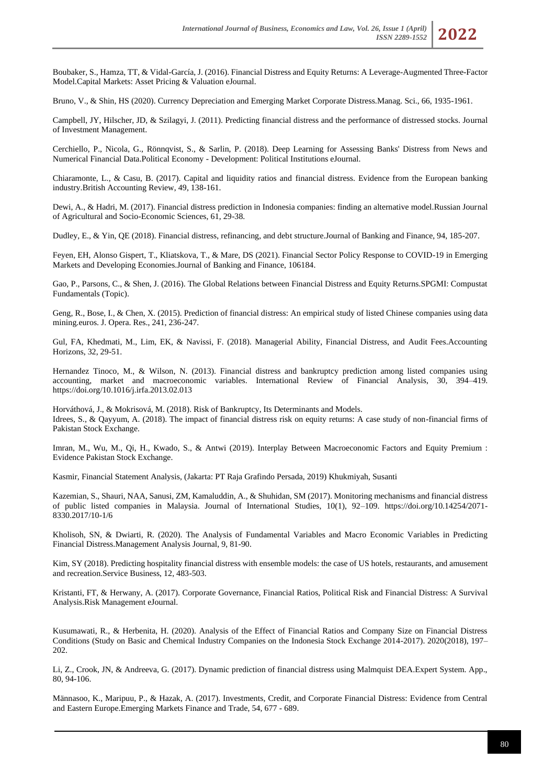Boubaker, S., Hamza, TT, & Vidal-García, J. (2016). Financial Distress and Equity Returns: A Leverage-Augmented Three-Factor Model.Capital Markets: Asset Pricing & Valuation eJournal.

Bruno, V., & Shin, HS (2020). Currency Depreciation and Emerging Market Corporate Distress.Manag. Sci., 66, 1935-1961.

Campbell, JY, Hilscher, JD, & Szilagyi, J. (2011). Predicting financial distress and the performance of distressed stocks. Journal of Investment Management.

Cerchiello, P., Nicola, G., Rönnqvist, S., & Sarlin, P. (2018). Deep Learning for Assessing Banks' Distress from News and Numerical Financial Data.Political Economy - Development: Political Institutions eJournal.

Chiaramonte, L., & Casu, B. (2017). Capital and liquidity ratios and financial distress. Evidence from the European banking industry.British Accounting Review, 49, 138-161.

Dewi, A., & Hadri, M. (2017). Financial distress prediction in Indonesia companies: finding an alternative model.Russian Journal of Agricultural and Socio-Economic Sciences, 61, 29-38.

Dudley, E., & Yin, QE (2018). Financial distress, refinancing, and debt structure.Journal of Banking and Finance, 94, 185-207.

Feyen, EH, Alonso Gispert, T., Kliatskova, T., & Mare, DS (2021). Financial Sector Policy Response to COVID-19 in Emerging Markets and Developing Economies.Journal of Banking and Finance, 106184.

Gao, P., Parsons, C., & Shen, J. (2016). The Global Relations between Financial Distress and Equity Returns.SPGMI: Compustat Fundamentals (Topic).

Geng, R., Bose, I., & Chen, X. (2015). Prediction of financial distress: An empirical study of listed Chinese companies using data mining.euros. J. Opera. Res., 241, 236-247.

Gul, FA, Khedmati, M., Lim, EK, & Navissi, F. (2018). Managerial Ability, Financial Distress, and Audit Fees.Accounting Horizons, 32, 29-51.

Hernandez Tinoco, M., & Wilson, N. (2013). Financial distress and bankruptcy prediction among listed companies using accounting, market and macroeconomic variables. International Review of Financial Analysis, 30, 394–419. https://doi.org/10.1016/j.irfa.2013.02.013

Horváthová, J., & Mokrisová, M. (2018). Risk of Bankruptcy, Its Determinants and Models. Idrees, S., & Qayyum, A. (2018). The impact of financial distress risk on equity returns: A case study of non-financial firms of Pakistan Stock Exchange.

Imran, M., Wu, M., Qi, H., Kwado, S., & Antwi (2019). Interplay Between Macroeconomic Factors and Equity Premium : Evidence Pakistan Stock Exchange.

Kasmir, Financial Statement Analysis, (Jakarta: PT Raja Grafindo Persada, 2019) Khukmiyah, Susanti

Kazemian, S., Shauri, NAA, Sanusi, ZM, Kamaluddin, A., & Shuhidan, SM (2017). Monitoring mechanisms and financial distress of public listed companies in Malaysia. Journal of International Studies, 10(1), 92–109. https://doi.org/10.14254/2071- 8330.2017/10-1/6

Kholisoh, SN, & Dwiarti, R. (2020). The Analysis of Fundamental Variables and Macro Economic Variables in Predicting Financial Distress.Management Analysis Journal, 9, 81-90.

Kim, SY (2018). Predicting hospitality financial distress with ensemble models: the case of US hotels, restaurants, and amusement and recreation.Service Business, 12, 483-503.

Kristanti, FT, & Herwany, A. (2017). Corporate Governance, Financial Ratios, Political Risk and Financial Distress: A Survival Analysis.Risk Management eJournal.

Kusumawati, R., & Herbenita, H. (2020). Analysis of the Effect of Financial Ratios and Company Size on Financial Distress Conditions (Study on Basic and Chemical Industry Companies on the Indonesia Stock Exchange 2014-2017). 2020(2018), 197– 202.

Li, Z., Crook, JN, & Andreeva, G. (2017). Dynamic prediction of financial distress using Malmquist DEA.Expert System. App., 80, 94-106.

Männasoo, K., Maripuu, P., & Hazak, A. (2017). Investments, Credit, and Corporate Financial Distress: Evidence from Central and Eastern Europe.Emerging Markets Finance and Trade, 54, 677 - 689.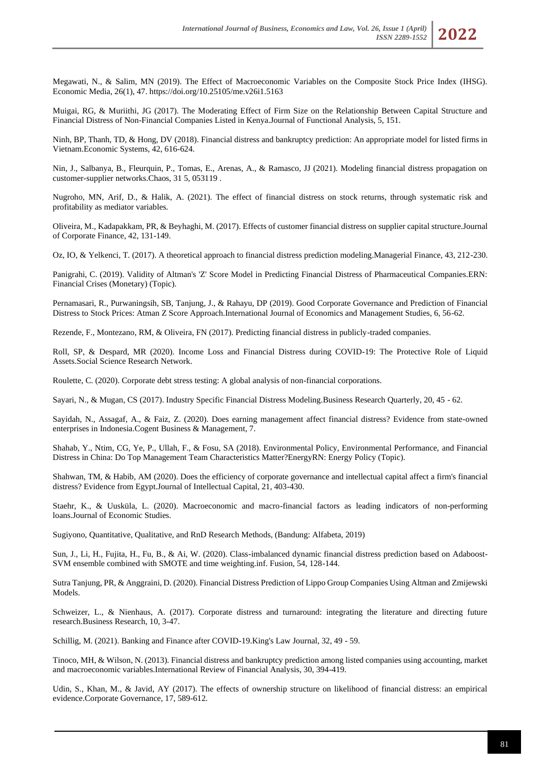Megawati, N., & Salim, MN (2019). The Effect of Macroeconomic Variables on the Composite Stock Price Index (IHSG). Economic Media, 26(1), 47. https://doi.org/10.25105/me.v26i1.5163

Muigai, RG, & Muriithi, JG (2017). The Moderating Effect of Firm Size on the Relationship Between Capital Structure and Financial Distress of Non-Financial Companies Listed in Kenya.Journal of Functional Analysis, 5, 151.

Ninh, BP, Thanh, TD, & Hong, DV (2018). Financial distress and bankruptcy prediction: An appropriate model for listed firms in Vietnam.Economic Systems, 42, 616-624.

Nin, J., Salbanya, B., Fleurquin, P., Tomas, E., Arenas, A., & Ramasco, JJ (2021). Modeling financial distress propagation on customer-supplier networks.Chaos, 31 5, 053119 .

Nugroho, MN, Arif, D., & Halik, A. (2021). The effect of financial distress on stock returns, through systematic risk and profitability as mediator variables.

Oliveira, M., Kadapakkam, PR, & Beyhaghi, M. (2017). Effects of customer financial distress on supplier capital structure.Journal of Corporate Finance, 42, 131-149.

Oz, IO, & Yelkenci, T. (2017). A theoretical approach to financial distress prediction modeling.Managerial Finance, 43, 212-230.

Panigrahi, C. (2019). Validity of Altman's 'Z' Score Model in Predicting Financial Distress of Pharmaceutical Companies.ERN: Financial Crises (Monetary) (Topic).

Pernamasari, R., Purwaningsih, SB, Tanjung, J., & Rahayu, DP (2019). Good Corporate Governance and Prediction of Financial Distress to Stock Prices: Atman Z Score Approach.International Journal of Economics and Management Studies, 6, 56-62.

Rezende, F., Montezano, RM, & Oliveira, FN (2017). Predicting financial distress in publicly-traded companies.

Roll, SP, & Despard, MR (2020). Income Loss and Financial Distress during COVID-19: The Protective Role of Liquid Assets.Social Science Research Network.

Roulette, C. (2020). Corporate debt stress testing: A global analysis of non-financial corporations.

Sayari, N., & Mugan, CS (2017). Industry Specific Financial Distress Modeling.Business Research Quarterly, 20, 45 - 62.

Sayidah, N., Assagaf, A., & Faiz, Z. (2020). Does earning management affect financial distress? Evidence from state-owned enterprises in Indonesia.Cogent Business & Management, 7.

Shahab, Y., Ntim, CG, Ye, P., Ullah, F., & Fosu, SA (2018). Environmental Policy, Environmental Performance, and Financial Distress in China: Do Top Management Team Characteristics Matter?EnergyRN: Energy Policy (Topic).

Shahwan, TM, & Habib, AM (2020). Does the efficiency of corporate governance and intellectual capital affect a firm's financial distress? Evidence from Egypt.Journal of Intellectual Capital, 21, 403-430.

Staehr, K., & Uusküla, L. (2020). Macroeconomic and macro-financial factors as leading indicators of non-performing loans.Journal of Economic Studies.

Sugiyono, Quantitative, Qualitative, and RnD Research Methods, (Bandung: Alfabeta, 2019)

Sun, J., Li, H., Fujita, H., Fu, B., & Ai, W. (2020). Class-imbalanced dynamic financial distress prediction based on Adaboost-SVM ensemble combined with SMOTE and time weighting.inf. Fusion, 54, 128-144.

Sutra Tanjung, PR, & Anggraini, D. (2020). Financial Distress Prediction of Lippo Group Companies Using Altman and Zmijewski Models.

Schweizer, L., & Nienhaus, A. (2017). Corporate distress and turnaround: integrating the literature and directing future research.Business Research, 10, 3-47.

Schillig, M. (2021). Banking and Finance after COVID-19.King's Law Journal, 32, 49 - 59.

Tinoco, MH, & Wilson, N. (2013). Financial distress and bankruptcy prediction among listed companies using accounting, market and macroeconomic variables.International Review of Financial Analysis, 30, 394-419.

Udin, S., Khan, M., & Javid, AY (2017). The effects of ownership structure on likelihood of financial distress: an empirical evidence.Corporate Governance, 17, 589-612.